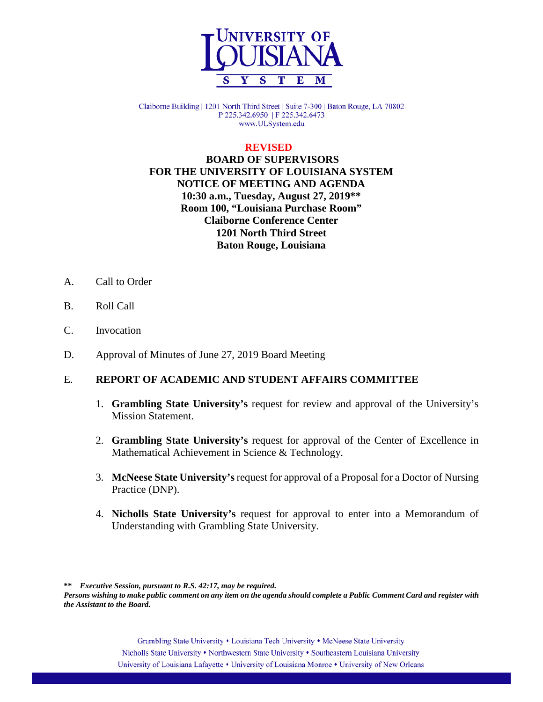

Claiborne Building | 1201 North Third Street | Suite 7-300 | Baton Rouge, LA 70802 P 225.342.6950 | F 225.342.6473 www.ULSystem.edu

#### **REVISED**

## **BOARD OF SUPERVISORS FOR THE UNIVERSITY OF LOUISIANA SYSTEM NOTICE OF MEETING AND AGENDA 10:30 a.m., Tuesday, August 27, 2019\*\* Room 100, "Louisiana Purchase Room" Claiborne Conference Center 1201 North Third Street Baton Rouge, Louisiana**

- A. Call to Order
- B. Roll Call
- C. Invocation
- D. Approval of Minutes of June 27, 2019 Board Meeting

## E. **REPORT OF ACADEMIC AND STUDENT AFFAIRS COMMITTEE**

- 1. **Grambling State University's** request for review and approval of the University's Mission Statement.
- 2. **Grambling State University's** request for approval of the Center of Excellence in Mathematical Achievement in Science & Technology.
- 3. **McNeese State University's** request for approval of a Proposal for a Doctor of Nursing Practice (DNP).
- 4. **Nicholls State University's** request for approval to enter into a Memorandum of Understanding with Grambling State University.

**\*\*** *Executive Session, pursuant to R.S. 42:17, may be required. Persons wishing to make public comment on any item on the agenda should complete a Public Comment Card and register with the Assistant to the Board.*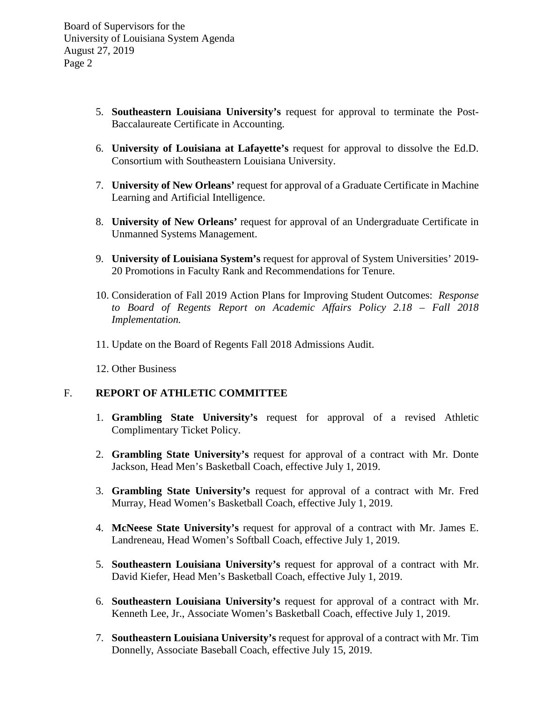- 5. **Southeastern Louisiana University's** request for approval to terminate the Post-Baccalaureate Certificate in Accounting.
- 6. **University of Louisiana at Lafayette's** request for approval to dissolve the Ed.D. Consortium with Southeastern Louisiana University.
- 7. **University of New Orleans'** request for approval of a Graduate Certificate in Machine Learning and Artificial Intelligence.
- 8. **University of New Orleans'** request for approval of an Undergraduate Certificate in Unmanned Systems Management.
- 9. **University of Louisiana System's** request for approval of System Universities' 2019- 20 Promotions in Faculty Rank and Recommendations for Tenure.
- 10. Consideration of Fall 2019 Action Plans for Improving Student Outcomes: *Response to Board of Regents Report on Academic Affairs Policy 2.18 – Fall 2018 Implementation.*
- 11. Update on the Board of Regents Fall 2018 Admissions Audit.
- 12. Other Business

## F. **REPORT OF ATHLETIC COMMITTEE**

- 1. **Grambling State University's** request for approval of a revised Athletic Complimentary Ticket Policy.
- 2. **Grambling State University's** request for approval of a contract with Mr. Donte Jackson, Head Men's Basketball Coach, effective July 1, 2019.
- 3. **Grambling State University's** request for approval of a contract with Mr. Fred Murray, Head Women's Basketball Coach, effective July 1, 2019.
- 4. **McNeese State University's** request for approval of a contract with Mr. James E. Landreneau, Head Women's Softball Coach, effective July 1, 2019.
- 5. **Southeastern Louisiana University's** request for approval of a contract with Mr. David Kiefer, Head Men's Basketball Coach, effective July 1, 2019.
- 6. **Southeastern Louisiana University's** request for approval of a contract with Mr. Kenneth Lee, Jr., Associate Women's Basketball Coach, effective July 1, 2019.
- 7. **Southeastern Louisiana University's** request for approval of a contract with Mr. Tim Donnelly, Associate Baseball Coach, effective July 15, 2019.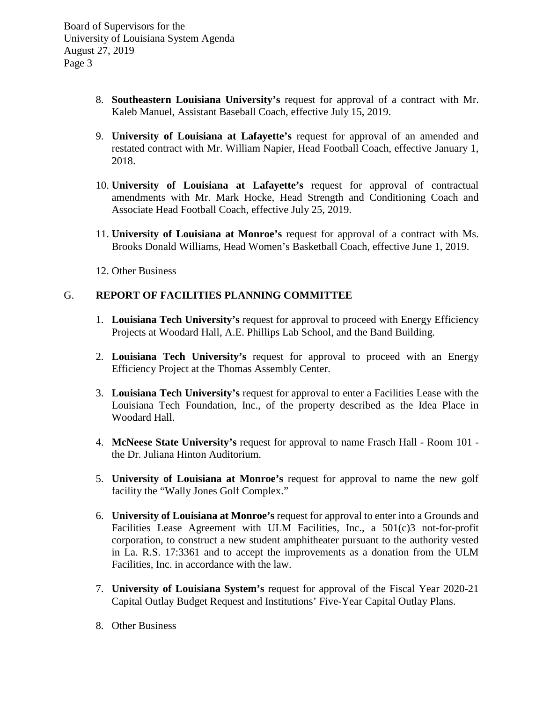- 8. **Southeastern Louisiana University's** request for approval of a contract with Mr. Kaleb Manuel, Assistant Baseball Coach, effective July 15, 2019.
- 9. **University of Louisiana at Lafayette's** request for approval of an amended and restated contract with Mr. William Napier, Head Football Coach, effective January 1, 2018.
- 10. **University of Louisiana at Lafayette's** request for approval of contractual amendments with Mr. Mark Hocke, Head Strength and Conditioning Coach and Associate Head Football Coach, effective July 25, 2019.
- 11. **University of Louisiana at Monroe's** request for approval of a contract with Ms. Brooks Donald Williams, Head Women's Basketball Coach, effective June 1, 2019.
- 12. Other Business

## G. **REPORT OF FACILITIES PLANNING COMMITTEE**

- 1. **Louisiana Tech University's** request for approval to proceed with Energy Efficiency Projects at Woodard Hall, A.E. Phillips Lab School, and the Band Building.
- 2. **Louisiana Tech University's** request for approval to proceed with an Energy Efficiency Project at the Thomas Assembly Center.
- 3. **Louisiana Tech University's** request for approval to enter a Facilities Lease with the Louisiana Tech Foundation, Inc., of the property described as the Idea Place in Woodard Hall.
- 4. **McNeese State University's** request for approval to name Frasch Hall Room 101 the Dr. Juliana Hinton Auditorium.
- 5. **University of Louisiana at Monroe's** request for approval to name the new golf facility the "Wally Jones Golf Complex."
- 6. **University of Louisiana at Monroe's** request for approval to enter into a Grounds and Facilities Lease Agreement with ULM Facilities, Inc., a 501(c)3 not-for-profit corporation, to construct a new student amphitheater pursuant to the authority vested in La. R.S. 17:3361 and to accept the improvements as a donation from the ULM Facilities, Inc. in accordance with the law.
- 7. **University of Louisiana System's** request for approval of the Fiscal Year 2020-21 Capital Outlay Budget Request and Institutions' Five-Year Capital Outlay Plans.
- 8. Other Business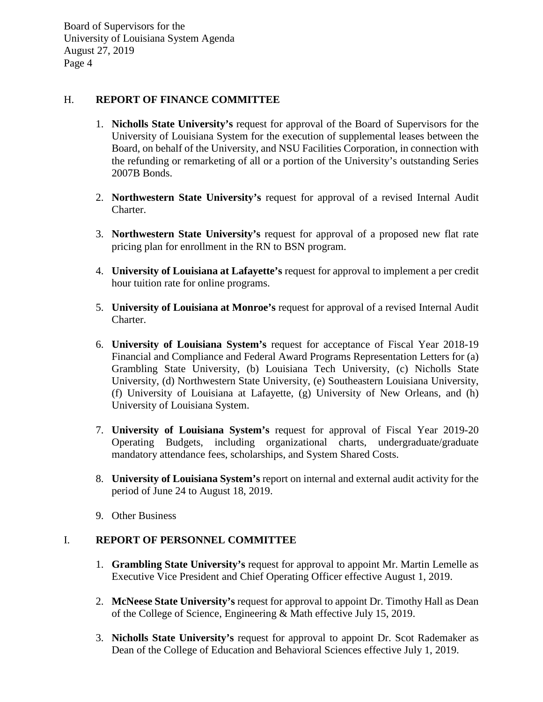## H. **REPORT OF FINANCE COMMITTEE**

- 1. **Nicholls State University's** request for approval of the Board of Supervisors for the University of Louisiana System for the execution of supplemental leases between the Board, on behalf of the University, and NSU Facilities Corporation, in connection with the refunding or remarketing of all or a portion of the University's outstanding Series 2007B Bonds.
- 2. **Northwestern State University's** request for approval of a revised Internal Audit Charter.
- 3. **Northwestern State University's** request for approval of a proposed new flat rate pricing plan for enrollment in the RN to BSN program.
- 4. **University of Louisiana at Lafayette's** request for approval to implement a per credit hour tuition rate for online programs.
- 5. **University of Louisiana at Monroe's** request for approval of a revised Internal Audit Charter.
- 6. **University of Louisiana System's** request for acceptance of Fiscal Year 2018-19 Financial and Compliance and Federal Award Programs Representation Letters for (a) Grambling State University, (b) Louisiana Tech University, (c) Nicholls State University, (d) Northwestern State University, (e) Southeastern Louisiana University, (f) University of Louisiana at Lafayette, (g) University of New Orleans, and (h) University of Louisiana System.
- 7. **University of Louisiana System's** request for approval of Fiscal Year 2019-20 Operating Budgets, including organizational charts, undergraduate/graduate mandatory attendance fees, scholarships, and System Shared Costs.
- 8. **University of Louisiana System's** report on internal and external audit activity for the period of June 24 to August 18, 2019.
- 9. Other Business

## I. **REPORT OF PERSONNEL COMMITTEE**

- 1. **Grambling State University's** request for approval to appoint Mr. Martin Lemelle as Executive Vice President and Chief Operating Officer effective August 1, 2019.
- 2. **McNeese State University's** request for approval to appoint Dr. Timothy Hall as Dean of the College of Science, Engineering & Math effective July 15, 2019.
- 3. **Nicholls State University's** request for approval to appoint Dr. Scot Rademaker as Dean of the College of Education and Behavioral Sciences effective July 1, 2019.